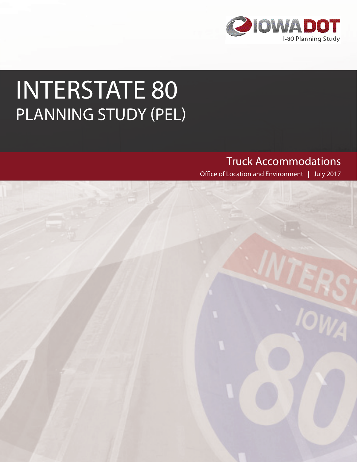

# PLANNING STUDY (PEL) INTERSTATE 80

## Truck Accommodations

Office of Location and Environment | July 2017

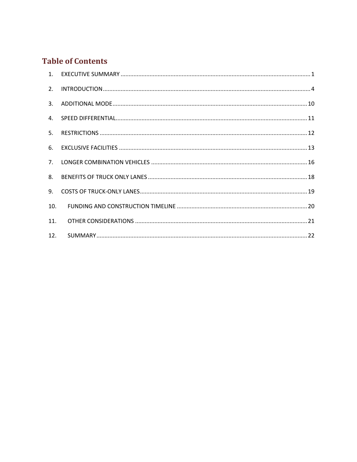## **Table of Contents**

| 2.             |  |
|----------------|--|
| 3.             |  |
| $\mathbf{A}$   |  |
| 5 <sub>1</sub> |  |
| 6.             |  |
| 7 <sub>1</sub> |  |
| 8.             |  |
| 9.             |  |
| 10.            |  |
| 11.            |  |
| 12.            |  |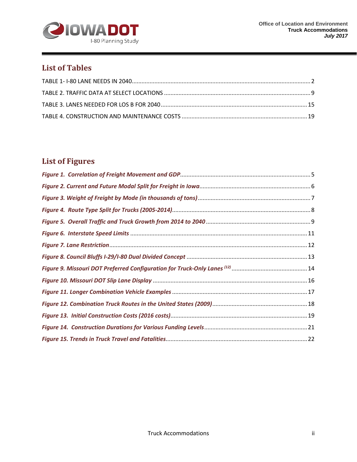

### **List of Tables**

## **List of Figures**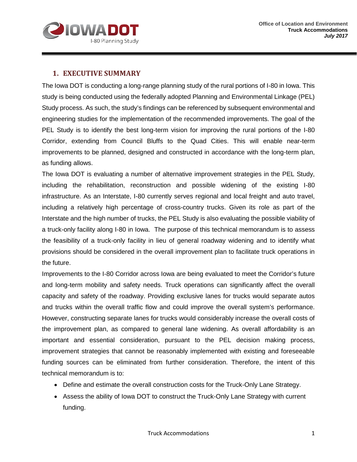

#### <span id="page-3-0"></span>**1. EXECUTIVE SUMMARY**

The Iowa DOT is conducting a long-range planning study of the rural portions of I-80 in Iowa. This study is being conducted using the federally adopted Planning and Environmental Linkage (PEL) Study process. As such, the study's findings can be referenced by subsequent environmental and engineering studies for the implementation of the recommended improvements. The goal of the PEL Study is to identify the best long-term vision for improving the rural portions of the I-80 Corridor, extending from Council Bluffs to the Quad Cities. This will enable near-term improvements to be planned, designed and constructed in accordance with the long-term plan, as funding allows.

The Iowa DOT is evaluating a number of alternative improvement strategies in the PEL Study, including the rehabilitation, reconstruction and possible widening of the existing I-80 infrastructure. As an Interstate, I-80 currently serves regional and local freight and auto travel, including a relatively high percentage of cross-country trucks. Given its role as part of the Interstate and the high number of trucks, the PEL Study is also evaluating the possible viability of a truck-only facility along I-80 in Iowa. The purpose of this technical memorandum is to assess the feasibility of a truck-only facility in lieu of general roadway widening and to identify what provisions should be considered in the overall improvement plan to facilitate truck operations in the future.

Improvements to the I-80 Corridor across Iowa are being evaluated to meet the Corridor's future and long-term mobility and safety needs. Truck operations can significantly affect the overall capacity and safety of the roadway. Providing exclusive lanes for trucks would separate autos and trucks within the overall traffic flow and could improve the overall system's performance. However, constructing separate lanes for trucks would considerably increase the overall costs of the improvement plan, as compared to general lane widening. As overall affordability is an important and essential consideration, pursuant to the PEL decision making process, improvement strategies that cannot be reasonably implemented with existing and foreseeable funding sources can be eliminated from further consideration. Therefore, the intent of this technical memorandum is to:

- Define and estimate the overall construction costs for the Truck-Only Lane Strategy.
- Assess the ability of Iowa DOT to construct the Truck-Only Lane Strategy with current funding.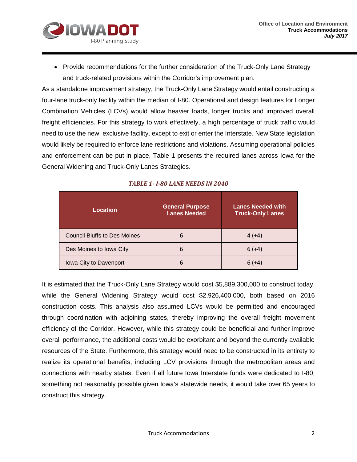

• Provide recommendations for the further consideration of the Truck-Only Lane Strategy and truck-related provisions within the Corridor's improvement plan.

As a standalone improvement strategy, the Truck-Only Lane Strategy would entail constructing a four-lane truck-only facility within the median of I-80. Operational and design features for Longer Combination Vehicles (LCVs) would allow heavier loads, longer trucks and improved overall freight efficiencies. For this strategy to work effectively, a high percentage of truck traffic would need to use the new, exclusive facility, except to exit or enter the Interstate. New State legislation would likely be required to enforce lane restrictions and violations. Assuming operational policies and enforcement can be put in place, Table 1 presents the required lanes across Iowa for the General Widening and Truck-Only Lanes Strategies.

<span id="page-4-0"></span>

| <b>Location</b>                     | <b>General Purpose</b><br><b>Lanes Needed</b> | <b>Lanes Needed with</b><br><b>Truck-Only Lanes</b> |
|-------------------------------------|-----------------------------------------------|-----------------------------------------------------|
| <b>Council Bluffs to Des Moines</b> | 6                                             | $4(+4)$                                             |
| Des Moines to Iowa City             | 6                                             | $6 (+4)$                                            |
| Iowa City to Davenport              | 6                                             | $6(+4)$                                             |

#### *TABLE 1- I-80 LANE NEEDS IN 2040*

It is estimated that the Truck-Only Lane Strategy would cost \$5,889,300,000 to construct today, while the General Widening Strategy would cost \$2,926,400,000, both based on 2016 construction costs. This analysis also assumed LCVs would be permitted and encouraged through coordination with adjoining states, thereby improving the overall freight movement efficiency of the Corridor. However, while this strategy could be beneficial and further improve overall performance, the additional costs would be exorbitant and beyond the currently available resources of the State. Furthermore, this strategy would need to be constructed in its entirety to realize its operational benefits, including LCV provisions through the metropolitan areas and connections with nearby states. Even if all future Iowa Interstate funds were dedicated to I-80, something not reasonably possible given Iowa's statewide needs, it would take over 65 years to construct this strategy.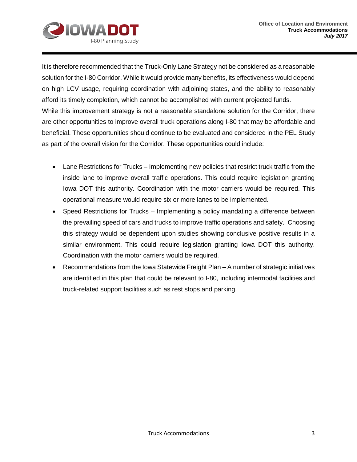

It is therefore recommended that the Truck-Only Lane Strategy not be considered as a reasonable solution for the I-80 Corridor. While it would provide many benefits, its effectiveness would depend on high LCV usage, requiring coordination with adjoining states, and the ability to reasonably afford its timely completion, which cannot be accomplished with current projected funds. While this improvement strategy is not a reasonable standalone solution for the Corridor, there are other opportunities to improve overall truck operations along I-80 that may be affordable and beneficial. These opportunities should continue to be evaluated and considered in the PEL Study as part of the overall vision for the Corridor. These opportunities could include:

- Lane Restrictions for Trucks Implementing new policies that restrict truck traffic from the inside lane to improve overall traffic operations. This could require legislation granting Iowa DOT this authority. Coordination with the motor carriers would be required. This operational measure would require six or more lanes to be implemented.
- Speed Restrictions for Trucks Implementing a policy mandating a difference between the prevailing speed of cars and trucks to improve traffic operations and safety. Choosing this strategy would be dependent upon studies showing conclusive positive results in a similar environment. This could require legislation granting Iowa DOT this authority. Coordination with the motor carriers would be required.
- Recommendations from the Iowa Statewide Freight Plan A number of strategic initiatives are identified in this plan that could be relevant to I-80, including intermodal facilities and truck-related support facilities such as rest stops and parking.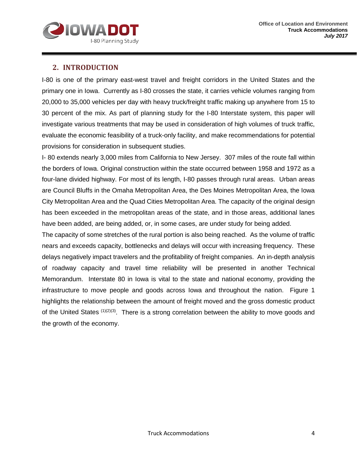

#### <span id="page-6-0"></span>**2. INTRODUCTION**

I-80 is one of the primary east-west travel and freight corridors in the United States and the primary one in Iowa. Currently as I-80 crosses the state, it carries vehicle volumes ranging from 20,000 to 35,000 vehicles per day with heavy truck/freight traffic making up anywhere from 15 to 30 percent of the mix. As part of planning study for the I-80 Interstate system, this paper will investigate various treatments that may be used in consideration of high volumes of truck traffic, evaluate the economic feasibility of a truck-only facility, and make recommendations for potential provisions for consideration in subsequent studies.

I- 80 extends nearly 3,000 miles from California to New Jersey. 307 miles of the route fall within the borders of Iowa. Original construction within the state occurred between 1958 and 1972 as a four-lane divided highway. For most of its length, I-80 passes through rural areas. Urban areas are Council Bluffs in the Omaha Metropolitan Area, the Des Moines Metropolitan Area, the Iowa City Metropolitan Area and the Quad Cities Metropolitan Area. The capacity of the original design has been exceeded in the metropolitan areas of the state, and in those areas, additional lanes have been added, are being added, or, in some cases, are under study for being added.

The capacity of some stretches of the rural portion is also being reached. As the volume of traffic nears and exceeds capacity, bottlenecks and delays will occur with increasing frequency. These delays negatively impact travelers and the profitability of freight companies. An in-depth analysis of roadway capacity and travel time reliability will be presented in another Technical Memorandum. Interstate 80 in Iowa is vital to the state and national economy, providing the infrastructure to move people and goods across Iowa and throughout the nation. Figure 1 highlights the relationship between the amount of freight moved and the gross domestic product of the United States (1)(2)(3). There is a strong correlation between the ability to move goods and the growth of the economy.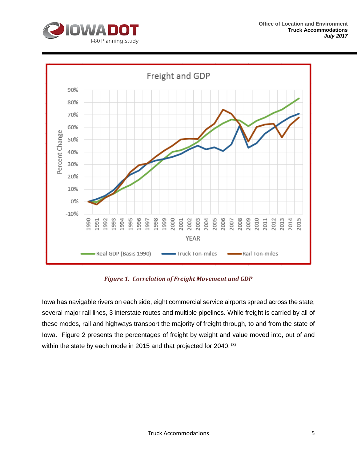



*Figure 1. Correlation of Freight Movement and GDP*

Iowa has navigable rivers on each side, eight commercial service airports spread across the state, several major rail lines, 3 interstate routes and multiple pipelines. While freight is carried by all of these modes, rail and highways transport the majority of freight through, to and from the state of Iowa. Figure 2 presents the percentages of freight by weight and value moved into, out of and within the state by each mode in 2015 and that projected for 2040. (3)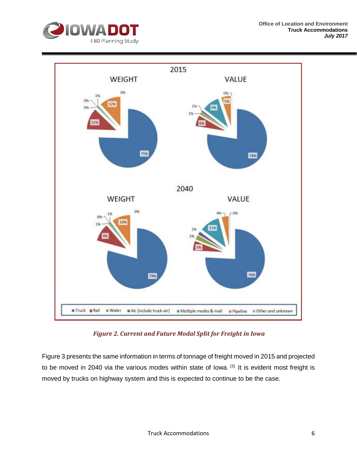



*Figure 2. Current and Future Modal Split for Freight in Iowa*

Figure 3 presents the same information in terms of tonnage of freight moved in 2015 and projected to be moved in 2040 via the various modes within state of Iowa. (3) It is evident most freight is moved by trucks on highway system and this is expected to continue to be the case.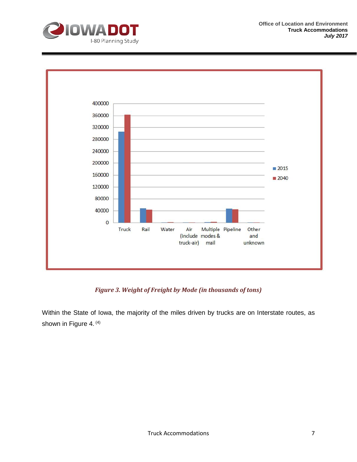



#### *Figure 3. Weight of Freight by Mode (in thousands of tons)*

Within the State of Iowa, the majority of the miles driven by trucks are on Interstate routes, as shown in Figure 4.<sup>(4)</sup>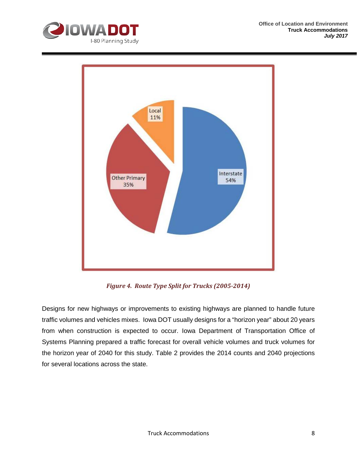



*Figure 4. Route Type Split for Trucks (2005-2014)*

Designs for new highways or improvements to existing highways are planned to handle future traffic volumes and vehicles mixes. Iowa DOT usually designs for a "horizon year" about 20 years from when construction is expected to occur. Iowa Department of Transportation Office of Systems Planning prepared a traffic forecast for overall vehicle volumes and truck volumes for the horizon year of 2040 for this study. Table 2 provides the 2014 counts and 2040 projections for several locations across the state.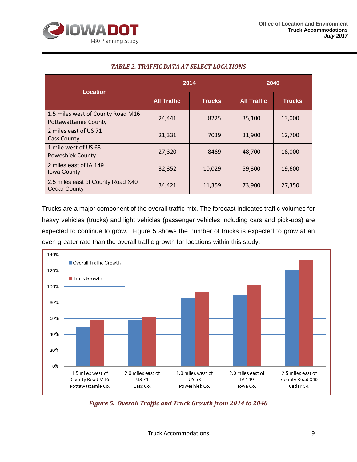

#### *TABLE 2. TRAFFIC DATA AT SELECT LOCATIONS*

<span id="page-11-0"></span>

| <b>Location</b>                                                  | 2014               |               | 2040               |               |  |
|------------------------------------------------------------------|--------------------|---------------|--------------------|---------------|--|
|                                                                  | <b>All Traffic</b> | <b>Trucks</b> | <b>All Traffic</b> | <b>Trucks</b> |  |
| 1.5 miles west of County Road M16<br><b>Pottawattamie County</b> | 24,441             | 8225          | 35,100             | 13,000        |  |
| 2 miles east of US 71<br><b>Cass County</b>                      | 21,331             | 7039          | 31,900             | 12,700        |  |
| 1 mile west of US 63<br><b>Poweshiek County</b>                  | 27,320             | 8469          | 48,700             | 18,000        |  |
| 2 miles east of IA 149<br><b>Iowa County</b>                     | 32,352             | 10,029        | 59,300             | 19,600        |  |
| 2.5 miles east of County Road X40<br><b>Cedar County</b>         | 34,421             | 11,359        | 73,900             | 27,350        |  |

Trucks are a major component of the overall traffic mix. The forecast indicates traffic volumes for heavy vehicles (trucks) and light vehicles (passenger vehicles including cars and pick-ups) are expected to continue to grow. Figure 5 shows the number of trucks is expected to grow at an even greater rate than the overall traffic growth for locations within this study.



*Figure 5. Overall Traffic and Truck Growth from 2014 to 2040*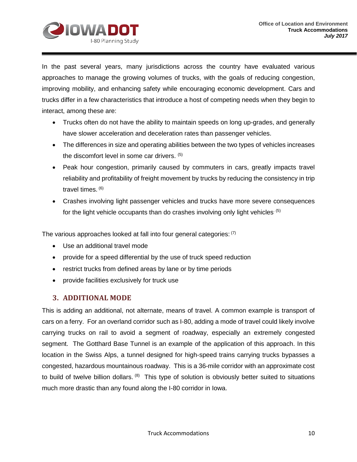

In the past several years, many jurisdictions across the country have evaluated various approaches to manage the growing volumes of trucks, with the goals of reducing congestion, improving mobility, and enhancing safety while encouraging economic development. Cars and trucks differ in a few characteristics that introduce a host of competing needs when they begin to interact, among these are:

- Trucks often do not have the ability to maintain speeds on long up-grades, and generally have slower acceleration and deceleration rates than passenger vehicles.
- The differences in size and operating abilities between the two types of vehicles increases the discomfort level in some car drivers. (5)
- Peak hour congestion, primarily caused by commuters in cars, greatly impacts travel reliability and profitability of freight movement by trucks by reducing the consistency in trip travel times.  $(6)$
- Crashes involving light passenger vehicles and trucks have more severe consequences for the light vehicle occupants than do crashes involving only light vehicles.  $(5)$

The various approaches looked at fall into four general categories: (7)

- Use an additional travel mode
- provide for a speed differential by the use of truck speed reduction
- restrict trucks from defined areas by lane or by time periods
- provide facilities exclusively for truck use

#### <span id="page-12-0"></span>**3. ADDITIONAL MODE**

This is adding an additional, not alternate, means of travel. A common example is transport of cars on a ferry. For an overland corridor such as I-80, adding a mode of travel could likely involve carrying trucks on rail to avoid a segment of roadway, especially an extremely congested segment. The Gotthard Base Tunnel is an example of the application of this approach. In this location in the Swiss Alps, a tunnel designed for high-speed trains carrying trucks bypasses a congested, hazardous mountainous roadway. This is a 36-mile corridor with an approximate cost to build of twelve billion dollars. <sup>(8)</sup> This type of solution is obviously better suited to situations much more drastic than any found along the I-80 corridor in Iowa.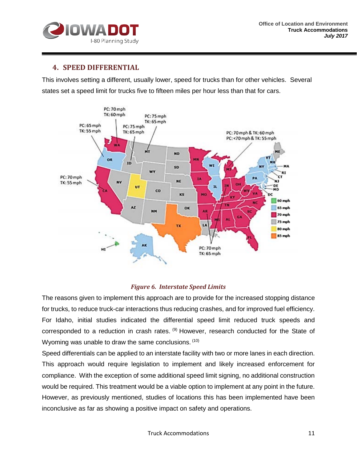

#### <span id="page-13-0"></span>**4. SPEED DIFFERENTIAL**

This involves setting a different, usually lower, speed for trucks than for other vehicles. Several states set a speed limit for trucks five to fifteen miles per hour less than that for cars.



#### *Figure 6. Interstate Speed Limits*

The reasons given to implement this approach are to provide for the increased stopping distance for trucks, to reduce truck-car interactions thus reducing crashes, and for improved fuel efficiency. For Idaho, initial studies indicated the differential speed limit reduced truck speeds and corresponded to a reduction in crash rates. (9) However, research conducted for the State of Wyoming was unable to draw the same conclusions. (10)

Speed differentials can be applied to an interstate facility with two or more lanes in each direction. This approach would require legislation to implement and likely increased enforcement for compliance. With the exception of some additional speed limit signing, no additional construction would be required. This treatment would be a viable option to implement at any point in the future. However, as previously mentioned, studies of locations this has been implemented have been inconclusive as far as showing a positive impact on safety and operations.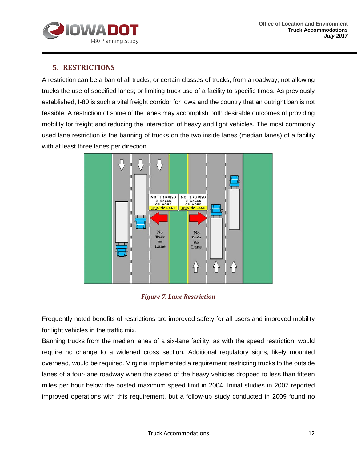

#### <span id="page-14-0"></span>**5. RESTRICTIONS**

A restriction can be a ban of all trucks, or certain classes of trucks, from a roadway; not allowing trucks the use of specified lanes; or limiting truck use of a facility to specific times. As previously established, I-80 is such a vital freight corridor for Iowa and the country that an outright ban is not feasible. A restriction of some of the lanes may accomplish both desirable outcomes of providing mobility for freight and reducing the interaction of heavy and light vehicles. The most commonly used lane restriction is the banning of trucks on the two inside lanes (median lanes) of a facility with at least three lanes per direction.



#### *Figure 7. Lane Restriction*

Frequently noted benefits of restrictions are improved safety for all users and improved mobility for light vehicles in the traffic mix.

Banning trucks from the median lanes of a six-lane facility, as with the speed restriction, would require no change to a widened cross section. Additional regulatory signs, likely mounted overhead, would be required. Virginia implemented a requirement restricting trucks to the outside lanes of a four-lane roadway when the speed of the heavy vehicles dropped to less than fifteen miles per hour below the posted maximum speed limit in 2004. Initial studies in 2007 reported improved operations with this requirement, but a follow-up study conducted in 2009 found no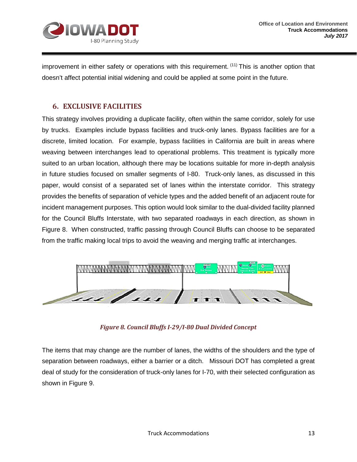

improvement in either safety or operations with this requirement.  $(11)$  This is another option that doesn't affect potential initial widening and could be applied at some point in the future.

#### <span id="page-15-0"></span>**6. EXCLUSIVE FACILITIES**

This strategy involves providing a duplicate facility, often within the same corridor, solely for use by trucks. Examples include bypass facilities and truck-only lanes. Bypass facilities are for a discrete, limited location. For example, bypass facilities in California are built in areas where weaving between interchanges lead to operational problems. This treatment is typically more suited to an urban location, although there may be locations suitable for more in-depth analysis in future studies focused on smaller segments of I-80. Truck-only lanes, as discussed in this paper, would consist of a separated set of lanes within the interstate corridor. This strategy provides the benefits of separation of vehicle types and the added benefit of an adjacent route for incident management purposes. This option would look similar to the dual-divided facility planned for the Council Bluffs Interstate, with two separated roadways in each direction, as shown in Figure 8. When constructed, traffic passing through Council Bluffs can choose to be separated from the traffic making local trips to avoid the weaving and merging traffic at interchanges.



*Figure 8. Council Bluffs I-29/I-80 Dual Divided Concept*

The items that may change are the number of lanes, the widths of the shoulders and the type of separation between roadways, either a barrier or a ditch. Missouri DOT has completed a great deal of study for the consideration of truck-only lanes for I-70, with their selected configuration as shown in Figure 9.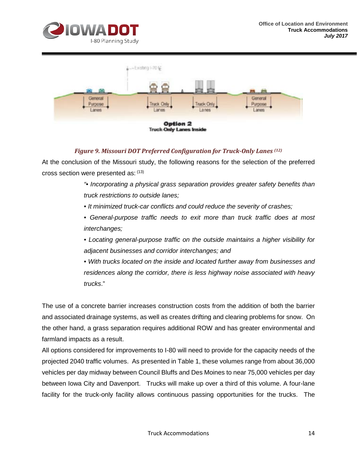



#### *Figure 9. Missouri DOT Preferred Configuration for Truck-Only Lanes (12)*

At the conclusion of the Missouri study, the following reasons for the selection of the preferred cross section were presented as: (13)

> *"• Incorporating a physical grass separation provides greater safety benefits than truck restrictions to outside lanes;*

- *It minimized truck-car conflicts and could reduce the severity of crashes;*
- *General-purpose traffic needs to exit more than truck traffic does at most interchanges;*
- *Locating general-purpose traffic on the outside maintains a higher visibility for adjacent businesses and corridor interchanges; and*
- *With trucks located on the inside and located further away from businesses and residences along the corridor, there is less highway noise associated with heavy trucks*."

The use of a concrete barrier increases construction costs from the addition of both the barrier and associated drainage systems, as well as creates drifting and clearing problems for snow. On the other hand, a grass separation requires additional ROW and has greater environmental and farmland impacts as a result.

All options considered for improvements to I-80 will need to provide for the capacity needs of the projected 2040 traffic volumes. As presented in Table 1, these volumes range from about 36,000 vehicles per day midway between Council Bluffs and Des Moines to near 75,000 vehicles per day between Iowa City and Davenport. Trucks will make up over a third of this volume. A four-lane facility for the truck-only facility allows continuous passing opportunities for the trucks. The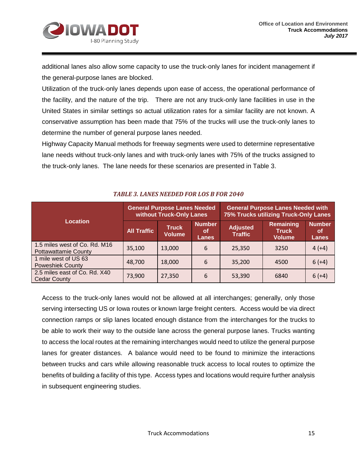

additional lanes also allow some capacity to use the truck-only lanes for incident management if the general-purpose lanes are blocked.

Utilization of the truck-only lanes depends upon ease of access, the operational performance of the facility, and the nature of the trip. There are not any truck-only lane facilities in use in the United States in similar settings so actual utilization rates for a similar facility are not known. A conservative assumption has been made that 75% of the trucks will use the truck-only lanes to determine the number of general purpose lanes needed.

Highway Capacity Manual methods for freeway segments were used to determine representative lane needs without truck-only lanes and with truck-only lanes with 75% of the trucks assigned to the truck-only lanes. The lane needs for these scenarios are presented in Table 3.

<span id="page-17-0"></span>

|                                                              | <b>General Purpose Lanes Needed</b><br>without Truck-Only Lanes |                               |                                     | <b>General Purpose Lanes Needed with</b><br>75% Trucks utilizing Truck-Only Lanes |                                            |                                      |
|--------------------------------------------------------------|-----------------------------------------------------------------|-------------------------------|-------------------------------------|-----------------------------------------------------------------------------------|--------------------------------------------|--------------------------------------|
| <b>Location</b>                                              | <b>All Traffic</b>                                              | <b>Truck</b><br><b>Volume</b> | Number<br><b>of</b><br><b>Lanes</b> | <b>Adjusted</b><br><b>Traffic</b>                                                 | Remaining<br><b>Truck</b><br><b>Volume</b> | <b>Number</b><br>0f.<br><b>Lanes</b> |
| 1.5 miles west of Co. Rd. M16<br><b>Pottawattamie County</b> | 35,100                                                          | 13,000                        | 6                                   | 25,350                                                                            | 3250                                       | $4 (+4)$                             |
| 1 mile west of US 63<br><b>Poweshiek County</b>              | 48,700                                                          | 18,000                        | 6                                   | 35,200                                                                            | 4500                                       | $6 (+4)$                             |
| 2.5 miles east of Co. Rd. X40<br><b>Cedar County</b>         | 73,900                                                          | 27,350                        | 6                                   | 53,390                                                                            | 6840                                       | $6 (+4)$                             |

#### *TABLE 3. LANES NEEDED FOR LOS B FOR 2040*

Access to the truck-only lanes would not be allowed at all interchanges; generally, only those serving intersecting US or Iowa routes or known large freight centers. Access would be via direct connection ramps or slip lanes located enough distance from the interchanges for the trucks to be able to work their way to the outside lane across the general purpose lanes. Trucks wanting to access the local routes at the remaining interchanges would need to utilize the general purpose lanes for greater distances. A balance would need to be found to minimize the interactions between trucks and cars while allowing reasonable truck access to local routes to optimize the benefits of building a facility of this type. Access types and locations would require further analysis in subsequent engineering studies.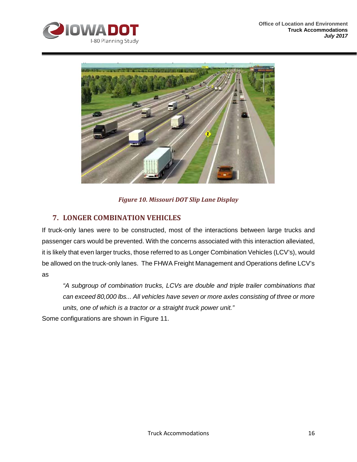



#### *Figure 10. Missouri DOT Slip Lane Display*

#### <span id="page-18-0"></span>**7. LONGER COMBINATION VEHICLES**

If truck-only lanes were to be constructed, most of the interactions between large trucks and passenger cars would be prevented. With the concerns associated with this interaction alleviated, it is likely that even larger trucks, those referred to as Longer Combination Vehicles (LCV's), would be allowed on the truck-only lanes. The FHWA Freight Management and Operations define LCV's as

*"A subgroup of combination trucks, LCVs are double and triple trailer combinations that can exceed 80,000 lbs... All vehicles have seven or more axles consisting of three or more units, one of which is a tractor or a straight truck power unit."* 

Some configurations are shown in Figure 11.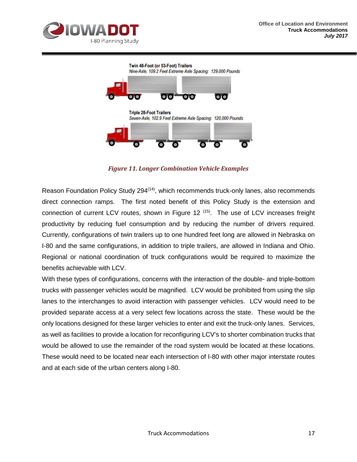



*Figure 11. Longer Combination Vehicle Examples*

Reason Foundation Policy Study 294<sup>(14)</sup>, which recommends truck-only lanes, also recommends direct connection ramps. The first noted benefit of this Policy Study is the extension and connection of current LCV routes, shown in Figure 12<sup>(15)</sup>. The use of LCV increases freight productivity by reducing fuel consumption and by reducing the number of drivers required. Currently, configurations of twin trailers up to one hundred feet long are allowed in Nebraska on I-80 and the same configurations, in addition to triple trailers, are allowed in Indiana and Ohio. Regional or national coordination of truck configurations would be required to maximize the benefits achievable with LCV.

With these types of configurations, concerns with the interaction of the double- and triple-bottom trucks with passenger vehicles would be magnified. LCV would be prohibited from using the slip lanes to the interchanges to avoid interaction with passenger vehicles. LCV would need to be provided separate access at a very select few locations across the state. These would be the only locations designed for these larger vehicles to enter and exit the truck-only lanes. Services, as well as facilities to provide a location for reconfiguring LCV's to shorter combination trucks that would be allowed to use the remainder of the road system would be located at these locations. These would need to be located near each intersection of I-80 with other major interstate routes and at each side of the urban centers along I-80.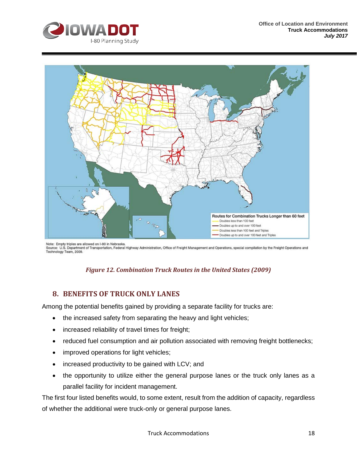



Note: Empty triples are allowed on I-80 in Nebraska. Source: U.S. Department of Transportation, Federal Highway Administration, Office of Freight Management and Operations, special compilation by the Freight Operations and Technology Team, 2009.

#### *Figure 12. Combination Truck Routes in the United States (2009)*

#### <span id="page-20-0"></span>**8. BENEFITS OF TRUCK ONLY LANES**

Among the potential benefits gained by providing a separate facility for trucks are:

- the increased safety from separating the heavy and light vehicles;
- increased reliability of travel times for freight;
- reduced fuel consumption and air pollution associated with removing freight bottlenecks;
- improved operations for light vehicles;
- increased productivity to be gained with LCV; and
- the opportunity to utilize either the general purpose lanes or the truck only lanes as a parallel facility for incident management.

The first four listed benefits would, to some extent, result from the addition of capacity, regardless of whether the additional were truck-only or general purpose lanes.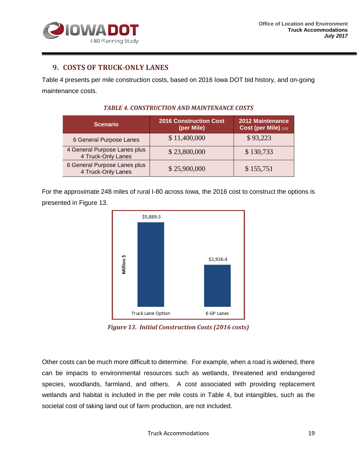

#### <span id="page-21-0"></span>**9. COSTS OF TRUCK-ONLY LANES**

<span id="page-21-1"></span>Table 4 presents per mile construction costs, based on 2016 Iowa DOT bid history, and on-going maintenance costs.

| <b>Scenario</b>                                    | <b>2016 Construction Cost</b><br>(per Mile) | 2012 Maintenance<br>Cost (per Mile) (16) |
|----------------------------------------------------|---------------------------------------------|------------------------------------------|
| 6 General Purpose Lanes                            | \$11,400,000                                | \$93,223                                 |
| 4 General Purpose Lanes plus<br>4 Truck-Only Lanes | \$23,800,000                                | \$130,733                                |
| 6 General Purpose Lanes plus<br>4 Truck-Only Lanes | \$25,900,000                                | \$155,751                                |

#### *TABLE 4. CONSTRUCTION AND MAINTENANCE COSTS*

For the approximate 248 miles of rural I-80 across Iowa, the 2016 cost to construct the options is presented in Figure 13.



*Figure 13. Initial Construction Costs (2016 costs)*

Other costs can be much more difficult to determine. For example, when a road is widened, there can be impacts to environmental resources such as wetlands, threatened and endangered species, woodlands, farmland, and others. A cost associated with providing replacement wetlands and habitat is included in the per mile costs in Table 4, but intangibles, such as the societal cost of taking land out of farm production, are not included.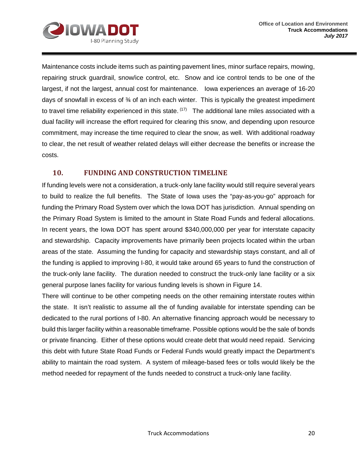

Maintenance costs include items such as painting pavement lines, minor surface repairs, mowing, repairing struck guardrail, snow/ice control, etc. Snow and ice control tends to be one of the largest, if not the largest, annual cost for maintenance. Iowa experiences an average of 16-20 days of snowfall in excess of ¾ of an inch each winter. This is typically the greatest impediment to travel time reliability experienced in this state.  $(17)$  The additional lane miles associated with a dual facility will increase the effort required for clearing this snow, and depending upon resource commitment, may increase the time required to clear the snow, as well. With additional roadway to clear, the net result of weather related delays will either decrease the benefits or increase the costs.

#### <span id="page-22-0"></span>**10. FUNDING AND CONSTRUCTION TIMELINE**

If funding levels were not a consideration, a truck-only lane facility would still require several years to build to realize the full benefits. The State of Iowa uses the "pay-as-you-go" approach for funding the Primary Road System over which the Iowa DOT has jurisdiction. Annual spending on the Primary Road System is limited to the amount in State Road Funds and federal allocations. In recent years, the Iowa DOT has spent around \$340,000,000 per year for interstate capacity and stewardship. Capacity improvements have primarily been projects located within the urban areas of the state. Assuming the funding for capacity and stewardship stays constant, and all of the funding is applied to improving I-80, it would take around 65 years to fund the construction of the truck-only lane facility. The duration needed to construct the truck-only lane facility or a six general purpose lanes facility for various funding levels is shown in Figure 14.

There will continue to be other competing needs on the other remaining interstate routes within the state. It isn't realistic to assume all the of funding available for interstate spending can be dedicated to the rural portions of I-80. An alternative financing approach would be necessary to build this larger facility within a reasonable timeframe. Possible options would be the sale of bonds or private financing. Either of these options would create debt that would need repaid. Servicing this debt with future State Road Funds or Federal Funds would greatly impact the Department's ability to maintain the road system. A system of mileage-based fees or tolls would likely be the method needed for repayment of the funds needed to construct a truck-only lane facility.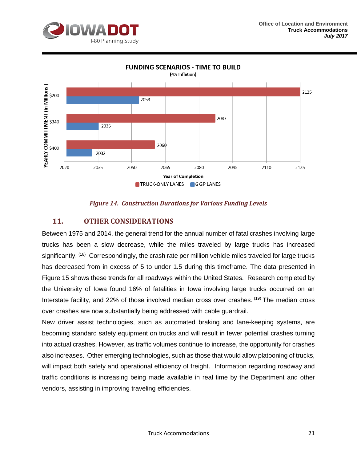

**FUNDING SCENARIOS - TIME TO BUILD** 



#### *Figure 14. Construction Durations for Various Funding Levels*

#### <span id="page-23-0"></span>**11. OTHER CONSIDERATIONS**

Between 1975 and 2014, the general trend for the annual number of fatal crashes involving large trucks has been a slow decrease, while the miles traveled by large trucks has increased significantly. <sup>(18)</sup> Correspondingly, the crash rate per million vehicle miles traveled for large trucks has decreased from in excess of 5 to under 1.5 during this timeframe. The data presented in Figure 15 shows these trends for all roadways within the United States. Research completed by the University of Iowa found 16% of fatalities in Iowa involving large trucks occurred on an Interstate facility, and 22% of those involved median cross over crashes. (19) The median cross over crashes are now substantially being addressed with cable guardrail.

New driver assist technologies, such as automated braking and lane-keeping systems, are becoming standard safety equipment on trucks and will result in fewer potential crashes turning into actual crashes. However, as traffic volumes continue to increase, the opportunity for crashes also increases. Other emerging technologies, such as those that would allow platooning of trucks, will impact both safety and operational efficiency of freight. Information regarding roadway and traffic conditions is increasing being made available in real time by the Department and other vendors, assisting in improving traveling efficiencies.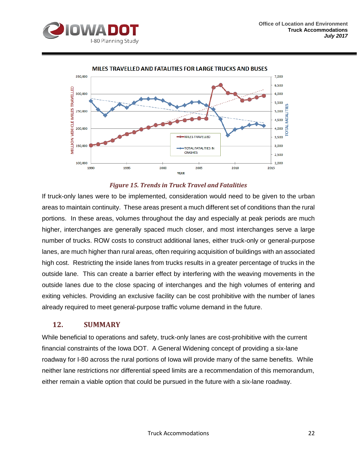



#### MILES TRAVELLED AND FATALITIES FOR LARGE TRUCKS AND BUSES



If truck-only lanes were to be implemented, consideration would need to be given to the urban areas to maintain continuity. These areas present a much different set of conditions than the rural portions. In these areas, volumes throughout the day and especially at peak periods are much higher, interchanges are generally spaced much closer, and most interchanges serve a large number of trucks. ROW costs to construct additional lanes, either truck-only or general-purpose lanes, are much higher than rural areas, often requiring acquisition of buildings with an associated high cost. Restricting the inside lanes from trucks results in a greater percentage of trucks in the outside lane. This can create a barrier effect by interfering with the weaving movements in the outside lanes due to the close spacing of interchanges and the high volumes of entering and exiting vehicles. Providing an exclusive facility can be cost prohibitive with the number of lanes already required to meet general-purpose traffic volume demand in the future.

#### <span id="page-24-0"></span>**12. SUMMARY**

While beneficial to operations and safety, truck-only lanes are cost-prohibitive with the current financial constraints of the Iowa DOT. A General Widening concept of providing a six-lane roadway for I-80 across the rural portions of Iowa will provide many of the same benefits. While neither lane restrictions nor differential speed limits are a recommendation of this memorandum, either remain a viable option that could be pursued in the future with a six-lane roadway.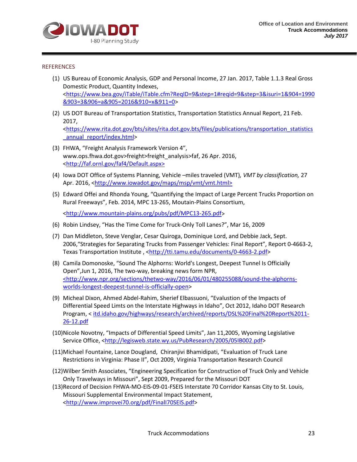

#### **REFERENCES**

- (1) US Bureau of Economic Analysis, GDP and Personal Income, 27 Jan. 2017, Table 1.1.3 Real Gross Domestic Product, Quantity Indexes, [<https://www.bea.gov/iTable/iTable.cfm?ReqID=9&step=1#reqid=9&step=3&isuri=1&904=1990](https://www.bea.gov/iTable/iTable.cfm?ReqID=9&step=1#reqid=9&step=3&isuri=1&904=1990&903=3&906=a&905=2016&910=x&911=0) [&903=3&906=a&905=2016&910=x&911=0>](https://www.bea.gov/iTable/iTable.cfm?ReqID=9&step=1#reqid=9&step=3&isuri=1&904=1990&903=3&906=a&905=2016&910=x&911=0)
- (2) US DOT Bureau of Transportation Statistics, Transportation Statistics Annual Report, 21 Feb. 2017, [<https://www.rita.dot.gov/bts/sites/rita.dot.gov.bts/files/publications/transportation\\_statistics](https://www.rita.dot.gov/bts/sites/rita.dot.gov.bts/files/publications/transportation_statistics_annual_report/index.html) annual report/index.html>
- (3) FHWA, "Freight Analysis Framework Version 4", www.ops.fhwa.dot.gov>freight>freight\_analysis>faf, 26 Apr. 2016, [<http://faf.ornl.gov/faf4/Default.aspx>](http://faf.ornl.gov/faf4/Default.aspx)
- (4) Iowa DOT Office of Systems Planning, Vehicle –miles traveled (VMT)*, VMT by classification,* 27 Apr. 2016, [<http://www.iowadot.gov/maps/msp/vmt/vmt.html>](http://www.iowadot.gov/maps/msp/vmt/vmt.html)
- (5) Edward Offei and Rhonda Young, "Quantifying the Impact of Large Percent Trucks Proportion on Rural Freeways", Feb. 2014, MPC 13-265, Moutain-Plains Consortium,

[<http://www.mountain-plains.org/pubs/pdf/MPC13-265.pdf>](http://www.mountain-plains.org/pubs/pdf/MPC13-265.pdf)

- (6) Robin Lindsey, "Has the Time Come for Truck-Only Toll Lanes?", Mar 16, 2009
- (7) Dan Middleton, Steve Venglar, Cesar Quiroga, Dominique Lord, and Debbie Jack, Sept. 2006,"Strategies for Separating Trucks from Passenger Vehicles: Final Report", Report 0-4663-2, Texas Transportation Institute, [<http://tti.tamu.edu/documents/0-4663-2.pdf>](http://tti.tamu.edu/documents/0-4663-2.pdf)
- (8) Camila Domonoske, "Sound The Alphorns: World's Longest, Deepest Tunnel Is Officially Open",Jun 1, 2016, The two-way, breaking news form NPR, [<http://www.npr.org/sections/thetwo-way/2016/06/01/480255088/sound-the-alphorns](http://www.npr.org/sections/thetwo-way/2016/06/01/480255088/sound-the-alphorns-worlds-longest-deepest-tunnel-is-officially-open)[worlds-longest-deepest-tunnel-is-officially-open>](http://www.npr.org/sections/thetwo-way/2016/06/01/480255088/sound-the-alphorns-worlds-longest-deepest-tunnel-is-officially-open)
- (9) Micheal Dixon, Ahmed Abdel-Rahim, Sherief Elbassuoni, "Evalustion of the Impacts of Differential Speed Limts on the Interstate Highways in Idaho", Oct 2012, Idaho DOT Research Program, < itd.idaho.gov/highways/research/archived/reports/DSL%20Final%20Report%2011- 26-12.pdf
- (10)Nicole Novotny, "Impacts of Differential Speed Limits", Jan 11,2005, Wyoming Legislative Service Office, [<http://legisweb.state.wy.us/PubResearch/2005/05IB002.pdf>](http://legisweb.state.wy.us/PubResearch/2005/05IB002.pdf)
- (11)Michael Fountaine, Lance Dougland, Chiranjivi Bhamidipati, "Evaluation of Truck Lane Restrictions in Virginia: Phase II", Oct 2009, Virginia Transportation Research Council
- (12)Wilber Smith Associates, "Engineering Specification for Construction of Truck Only and Vehicle Only Travelways in Missouri", Sept 2009, Prepared for the Missouri DOT
- (13)Record of Decision FHWA-MO-EIS-09-01-FSEIS Interstate 70 Corridor Kansas City to St. Louis, Missouri Supplemental Environmental Impact Statement, [<http://www.improvei70.org/pdf/FinalI70SEIS.pdf>](http://www.improvei70.org/pdf/FinalI70SEIS.pdf)